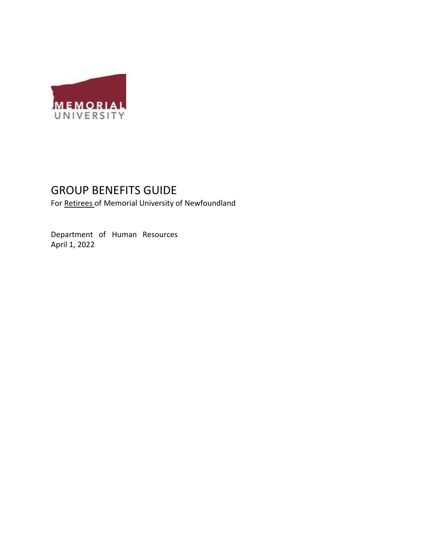

# GROUP BENEFITS GUIDE

For Retirees of Memorial University of Newfoundland

Department of Human Resources April 1, 2022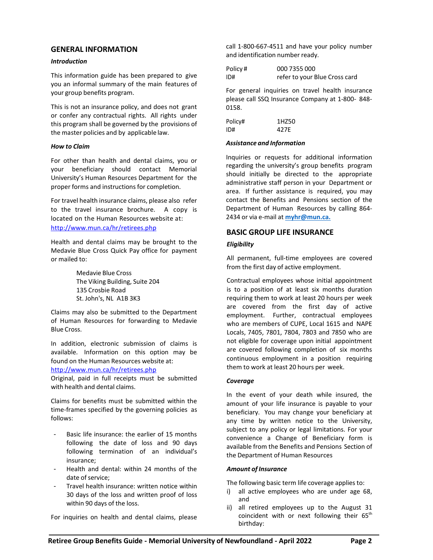# **GENERAL INFORMATION**

## *Introduction*

This information guide has been prepared to give you an informal summary of the main features of your group benefits program.

This is not an insurance policy, and does not grant or confer any contractual rights. All rights under this program shall be governed by the provisions of the master policies and by applicable law.

# *How to Claim*

For other than health and dental claims, you or your beneficiary should contact Memorial University's Human Resources Department for the proper forms and instructions for completion.

For travel health insurance claims, please also refer to the travel insurance brochure. A copy is located on the Human Resources website at: [http://www.mun.ca/hr/retirees.php](http://www.mun.ca/humanres/retirees.php)

Health and dental claims may be brought to the Medavie Blue Cross Quick Pay office for payment or mailed to:

> Medavie Blue Cross The Viking Building, Suite 204 135 Crosbie Road St. John's, NL A1B 3K3

Claims may also be submitted to the Department of Human Resources for forwarding to Medavie Blue Cross.

In addition, electronic submission of claims is available. Information on this option may be found on the Human Resources website at:

# [http://www.mun.ca/hr/retirees.php](http://www.mun.ca/humanres/retirees.php)

Original, paid in full receipts must be submitted with health and dental claims.

Claims for benefits must be submitted within the time-frames specified by the governing policies as follows:

- Basic life insurance: the earlier of 15 months following the date of loss and 90 days following termination of an individual's insurance;
- Health and dental: within 24 months of the date of service:
- Travel health insurance: written notice within 30 days of the loss and written proof of loss within 90 days of the loss.

For inquiries on health and dental claims, please

call 1-800-667-4511 and have your policy number and identification number ready.

| Policy# | 000 7355 000                  |
|---------|-------------------------------|
| ID#     | refer to your Blue Cross card |

For general inquiries on travel health insurance please call SSQ Insurance Company at 1-800- 848- 0158.

| Policy# | 1HZ50 |
|---------|-------|
| ID#     | 427E  |

## *Assistance and Information*

Inquiries or requests for additional information regarding the university's group benefits program should initially be directed to the appropriate administrative staff person in your Department or area. If further assistance is required, you may contact the Benefits and Pensions section of the Department of Human Resources by calling 864- 2434 or via e-mail at **[myhr@mun.ca.](mailto:myhr@mun.ca)**

# **BASIC GROUP LIFE INSURANCE**

## *Eligibility*

All permanent, full-time employees are covered from the first day of active employment.

Contractual employees whose initial appointment is to a position of at least six months duration requiring them to work at least 20 hours per week are covered from the first day of active employment. Further, contractual employees who are members of CUPE, Local 1615 and NAPE Locals, 7405, 7801, 7804, 7803 and 7850 who are not eligible for coverage upon initial appointment are covered following completion of six months continuous employment in a position requiring them to work at least 20 hours per week.

# *Coverage*

In the event of your death while insured, the amount of your life insurance is payable to your beneficiary. You may change your beneficiary at any time by written notice to the University, subject to any policy or legal limitations. For your convenience a Change of Beneficiary form is available from the Benefits and Pensions Section of the Department of Human Resources

# *Amount of Insurance*

The following basic term life coverage applies to:

- i) all active employees who are under age 68, and
- ii) all retired employees up to the August 31 coincident with or next following their  $65<sup>th</sup>$ birthday: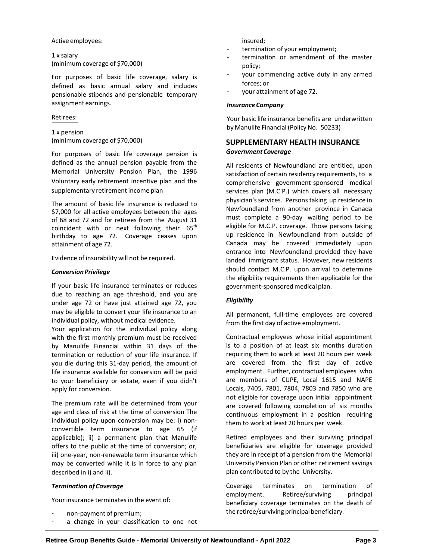#### Active employees:

1 x salary (minimum coverage of \$70,000)

For purposes of basic life coverage, salary is defined as basic annual salary and includes pensionable stipends and pensionable temporary assignment earnings.

## Retirees:

1 x pension (minimum coverage of \$70,000)

For purposes of basic life coverage pension is defined as the annual pension payable from the Memorial University Pension Plan, the 1996 voluntary early retirement incentive plan and the supplementary retirement income plan

The amount of basic life insurance is reduced to \$7,000 for all active employees between the ages of 68 and 72 and for retirees from the August 31 coincident with or next following their  $65<sup>th</sup>$ birthday to age 72. Coverage ceases upon attainment of age 72.

Evidence of insurability will not be required.

## **Conversion Privilege**

If your basic life insurance terminates or reduces due to reaching an age threshold, and you are under age 72 or have just attained age 72, you may be eligible to convert your life insurance to an individual policy, without medical evidence.

Your application for the individual policy along with the first monthly premium must be received by Manulife Financial within 31 days of the termination or reduction of your life insurance. If you die during this 31-day period, the amount of life insurance available for conversion will be paid to your beneficiary or estate, even if you didn't apply for conversion.

The premium rate will be determined from your age and class of risk at the time of conversion The individual policy upon conversion may be: i) nonconvertible term insurance to age 65 (if applicable); ii) a permanent plan that Manulife offers to the public at the time of conversion; or, iii) one-year, non-renewable term insurance which may be converted while it is in force to any plan described in i) and ii).

# *Termination of Coverage*

Your insurance terminates in the event of:

- non-payment of premium;
- a change in your classification to one not

insured;

- termination of your employment;
- termination or amendment of the master policy;
- your commencing active duty in any armed forces; or
- your attainment of age 72.

#### *Insurance Company*

Your basic life insurance benefits are underwritten by Manulife Financial (Policy No. 50233)

# **SUPPLEMENTARY HEALTH INSURANCE** *GovernmentCoverage*

All residents of Newfoundland are entitled, upon satisfaction of certain residency requirements, to a comprehensive government-sponsored medical services plan (M.C.P.) which covers all necessary physician's services. Persons taking up residence in Newfoundland from another province in Canada must complete a 90-day waiting period to be eligible for M.C.P. coverage. Those persons taking up residence in Newfoundland from outside of Canada may be covered immediately upon entrance into Newfoundland provided they have landed immigrant status. However, new residents should contact M.C.P. upon arrival to determine the eligibility requirements then applicable for the government-sponsored medical plan.

# *Eligibility*

All permanent, full-time employees are covered from the first day of active employment.

Contractual employees whose initial appointment is to a position of at least six months duration requiring them to work at least 20 hours per week are covered from the first day of active employment. Further, contractual employees who are members of CUPE, Local 1615 and NAPE Locals, 7405, 7801, 7804, 7803 and 7850 who are not eligible for coverage upon initial appointment are covered following completion of six months continuous employment in a position requiring them to work at least 20 hours per week.

Retired employees and their surviving principal beneficiaries are eligible for coverage provided they are in receipt of a pension from the Memorial University Pension Plan or other retirement savings plan contributed to by the University.

Coverage terminates on termination of employment. Retiree/surviving principal beneficiary coverage terminates on the death of the retiree/surviving principal beneficiary.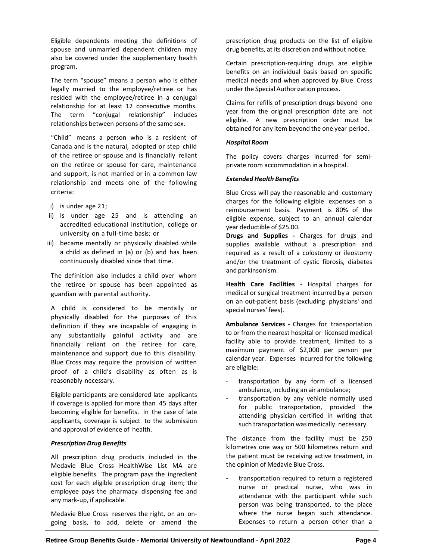Eligible dependents meeting the definitions of spouse and unmarried dependent children may also be covered under the supplementary health program.

The term "spouse" means a person who is either legally married to the employee/retiree or has resided with the employee/retiree in a conjugal relationship for at least 12 consecutive months. The term "conjugal relationship" includes relationships between persons of the same sex.

"Child" means a person who is a resident of Canada and is the natural, adopted or step child of the retiree or spouse and is financially reliant on the retiree or spouse for care, maintenance and support, is not married or in a common law relationship and meets one of the following criteria:

- i) is under age 21;
- ii) is under age 25 and is attending an accredited educational institution, college or university on a full-time basis; or
- iii) became mentally or physically disabled while a child as defined in (a) or (b) and has been continuously disabled since that time.

The definition also includes a child over whom the retiree or spouse has been appointed as guardian with parental authority.

A child is considered to be mentally or physically disabled for the purposes of this definition if they are incapable of engaging in any substantially gainful activity and are financially reliant on the retiree for care, maintenance and support due to this disability. Blue Cross may require the provision of written proof of a child's disability as often as is reasonably necessary.

Eligible participants are considered late applicants if coverage is applied for more than 45 days after becoming eligible for benefits. In the case of late applicants, coverage is subject to the submission and approval of evidence of health.

# *Prescription Drug Benefits*

All prescription drug products included in the Medavie Blue Cross HealthWise List MA are eligible benefits. The program pays the ingredient cost for each eligible prescription drug item; the employee pays the pharmacy dispensing fee and any mark-up, if applicable.

Medavie Blue Cross reserves the right, on an ongoing basis, to add, delete or amend the prescription drug products on the list of eligible drug benefits, at its discretion and without notice.

Certain prescription-requiring drugs are eligible benefits on an individual basis based on specific medical needs and when approved by Blue Cross under the Special Authorization process.

Claims for refills of prescription drugs beyond one year from the original prescription date are not eligible. A new prescription order must be obtained for any item beyond the one year period.

# *Hospital Room*

The policy covers charges incurred for semiprivate room accommodation in a hospital.

# *Extended Health Benefits*

Blue Cross will pay the reasonable and customary charges for the following eligible expenses on a reimbursement basis. Payment is 80% of the eligible expense, subject to an annual calendar year deductible of \$25.00.

**Drugs and Supplies -** Charges for drugs and supplies available without a prescription and required as a result of a colostomy or ileostomy and/or the treatment of cystic fibrosis, diabetes and parkinsonism.

**Health Care Facilities -** Hospital charges for medical or surgical treatment incurred by a person on an out-patient basis (excluding physicians' and special nurses' fees).

**Ambulance Services -** Charges for transportation to or from the nearest hospital or licensed medical facility able to provide treatment, limited to a maximum payment of \$2,000 per person per calendar year. Expenses incurred for the following are eligible:

- transportation by any form of a licensed ambulance, including an air ambulance;
- transportation by any vehicle normally used for public transportation, provided the attending physician certified in writing that such transportation was medically necessary.

The distance from the facility must be 250 kilometres one way or 500 kilometres return and the patient must be receiving active treatment, in the opinion of Medavie Blue Cross.

transportation required to return a registered nurse or practical nurse, who was in attendance with the participant while such person was being transported, to the place where the nurse began such attendance. Expenses to return a person other than a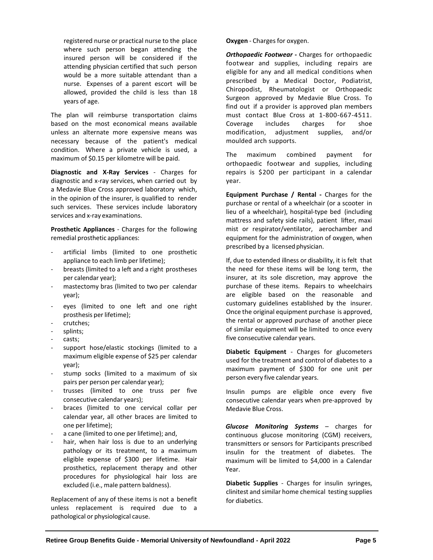registered nurse or practical nurse to the place where such person began attending the insured person will be considered if the attending physician certified that such person would be a more suitable attendant than a nurse. Expenses of a parent escort will be allowed, provided the child is less than 18 years of age.

The plan will reimburse transportation claims based on the most economical means available unless an alternate more expensive means was necessary because of the patient's medical condition. Where a private vehicle is used, a maximum of \$0.15 per kilometre will be paid.

**Diagnostic and X-Ray Services** - Charges for diagnostic and x-ray services, when carried out by a Medavie Blue Cross approved laboratory which, in the opinion of the insurer, is qualified to render such services. These services include laboratory services and x-ray examinations.

**Prosthetic Appliances** - Charges for the following remedial prosthetic appliances:

- artificial limbs (limited to one prosthetic appliance to each limb per lifetime);
- breasts (limited to a left and a right prostheses per calendar year);
- mastectomy bras (limited to two per calendar year);
- eyes (limited to one left and one right prosthesis per lifetime);
- crutches;
- splints;
- casts;
- support hose/elastic stockings (limited to a maximum eligible expense of \$25 per calendar year);
- stump socks (limited to a maximum of six pairs per person per calendar year);
- trusses (limited to one truss per five consecutive calendar years);
- braces (limited to one cervical collar per calendar year, all other braces are limited to one per lifetime);
- a cane (limited to one per lifetime); and,
- hair, when hair loss is due to an underlying pathology or its treatment, to a maximum eligible expense of \$300 per lifetime. Hair prosthetics, replacement therapy and other procedures for physiological hair loss are excluded (i.e., male pattern baldness).

Replacement of any of these items is not a benefit unless replacement is required due to a pathological or physiological cause.

**Oxygen** - Charges for oxygen.

*Orthopaedic Footwear* **-** Charges for orthopaedic footwear and supplies, including repairs are eligible for any and all medical conditions when prescribed by a Medical Doctor, Podiatrist, Chiropodist, Rheumatologist or Orthopaedic Surgeon approved by Medavie Blue Cross. To find out if a provider is approved plan members must contact Blue Cross at 1-800-667-4511. Coverage includes charges for shoe modification, adjustment supplies, and/or moulded arch supports.

The maximum combined payment for orthopaedic footwear and supplies, including repairs is \$200 per participant in a calendar year.

**Equipment Purchase / Rental -** Charges for the purchase or rental of a wheelchair (or a scooter in lieu of a wheelchair), hospital-type bed (including mattress and safety side rails), patient lifter, maxi mist or respirator/ventilator, aerochamber and equipment for the administration of oxygen, when prescribed by a licensed physician.

If, due to extended illness or disability, it is felt that the need for these items will be long term, the insurer, at its sole discretion, may approve the purchase of these items. Repairs to wheelchairs are eligible based on the reasonable and customary guidelines established by the insurer. Once the original equipment purchase is approved, the rental or approved purchase of another piece of similar equipment will be limited to once every five consecutive calendar years.

**Diabetic Equipment** - Charges for glucometers used for the treatment and control of diabetes to a maximum payment of \$300 for one unit per person every five calendar years.

Insulin pumps are eligible once every five consecutive calendar years when pre-approved by Medavie Blue Cross.

*Glucose Monitoring Systems* – charges for continuous glucose monitoring (CGM) receivers, transmitters or sensors for Participants prescribed insulin for the treatment of diabetes. The maximum will be limited to \$4,000 in a Calendar Year.

**Diabetic Supplies** - Charges for insulin syringes, clinitest and similar home chemical testing supplies for diabetics.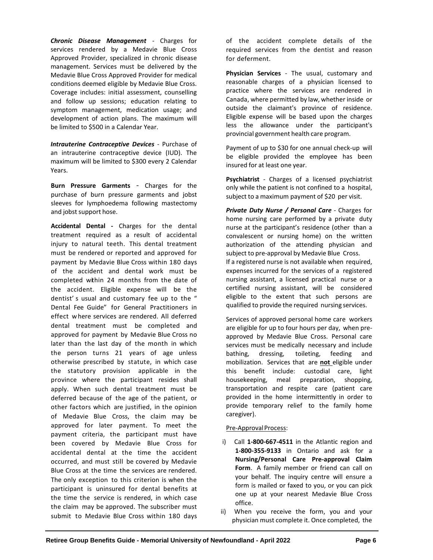*Chronic Disease Management* - Charges for services rendered by a Medavie Blue Cross Approved Provider, specialized in chronic disease management. Services must be delivered by the Medavie Blue Cross Approved Provider for medical conditions deemed eligible by Medavie Blue Cross. Coverage includes: initial assessment, counselling and follow up sessions; education relating to symptom management, medication usage; and development of action plans. The maximum will be limited to \$500 in a Calendar Year.

*Intrauterine Contraceptive Devices* - Purchase of an intrauterine contraceptive device (IUD). The maximum will be limited to \$300 every 2 Calendar Years.

**Burn Pressure Garments** - Charges for the purchase of burn pressure garments and jobst sleeves for lymphoedema following mastectomy and jobst support hose.

**Accidental Dental -** Charges for the dental treatment required as a result of accidental injury to natural teeth. This dental treatment must be rendered or reported and approved for payment by Medavie Blue Cross within 180 days of the accident and dental work must be completed within 24 months from the date of the accident. Eligible expense will be the dentist's usual and customary fee up to the " Dental Fee Guide" for General Practitioners in effect where services are rendered. All deferred dental treatment must be completed and approved for payment by Medavie Blue Cross no later than the last day of the month in which the person turns 21 years of age unless otherwise prescribed by statute, in which case the statutory provision applicable in the province where the participant resides shall apply. When such dental treatment must be deferred because of the age of the patient, or other factors which are justified, in the opinion of Medavie Blue Cross, the claim may be approved for later payment. To meet the payment criteria, the participant must have been covered by Medavie Blue Cross for accidental dental at the time the accident occurred, and must still be covered by Medavie Blue Cross at the time the services are rendered. The only exception to this criterion is when the participant is uninsured for dental benefits at the time the service is rendered, in which case the claim may be approved. The subscriber must submit to Medavie Blue Cross within 180 days of the accident complete details of the required services from the dentist and reason for deferment.

**Physician Services** - The usual, customary and reasonable charges of a physician licensed to practice where the services are rendered in Canada, where permitted by law, whether inside or outside the claimant's province of residence. Eligible expense will be based upon the charges less the allowance under the participant's provincial government health care program.

Payment of up to \$30 for one annual check-up will be eligible provided the employee has been insured for at least one year.

**Psychiatrist** - Charges of a licensed psychiatrist only while the patient is not confined to a hospital, subject to a maximum payment of \$20 per visit.

*Private Duty Nurse / Personal Care* - Charges for home nursing care performed by a private duty nurse at the participant's residence (other than a convalescent or nursing home) on the written authorization of the attending physician and subject to pre-approval by Medavie Blue Cross.

If a registered nurse is not available when required, expenses incurred for the services of a registered nursing assistant, a licensed practical nurse or a certified nursing assistant, will be considered eligible to the extent that such persons are qualified to provide the required nursing services.

Services of approved personal home care workers are eligible for up to four hours per day, when preapproved by Medavie Blue Cross. Personal care services must be medically necessary and include bathing, dressing, toileting, feeding and mobilization. Services that are **not** eligible under this benefit include: custodial care, light housekeeping, meal preparation, shopping, transportation and respite care (patient care provided in the home intermittently in order to provide temporary relief to the family home caregiver).

# Pre-Approval Process:

- i) Call **1-800-667-4511** in the Atlantic region and **1-800-355-9133** in Ontario and ask for a **Nursing/Personal Care Pre-approval Claim Form**. A family member or friend can call on your behalf. The inquiry centre will ensure a form is mailed or faxed to you, or you can pick one up at your nearest Medavie Blue Cross office.
- ii) When you receive the form, you and your physician must complete it. Once completed, the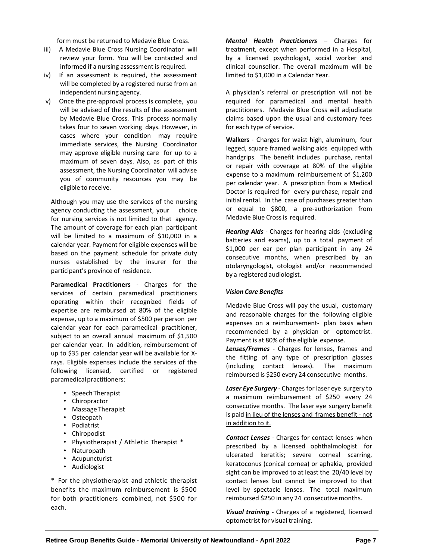form must be returned to Medavie Blue Cross.

- iii) A Medavie Blue Cross Nursing Coordinator will review your form. You will be contacted and informed if a nursing assessment is required.
- iv) If an assessment is required, the assessment will be completed by a registered nurse from an independent nursing agency.
- v) Once the pre-approval process is complete, you will be advised of the results of the assessment by Medavie Blue Cross. This process normally takes four to seven working days. However, in cases where your condition may require immediate services, the Nursing Coordinator may approve eligible nursing care for up to a maximum of seven days. Also, as part of this assessment, the Nursing Coordinator will advise you of community resources you may be eligible to receive.

Although you may use the services of the nursing agency conducting the assessment, your choice for nursing services is not limited to that agency. The amount of coverage for each plan participant will be limited to a maximum of \$10,000 in a calendar year. Payment for eligible expenses will be based on the payment schedule for private duty nurses established by the insurer for the participant's province of residence.

**Paramedical Practitioners** - Charges for the services of certain paramedical practitioners operating within their recognized fields of expertise are reimbursed at 80% of the eligible expense, up to a maximum of \$500 per person per calendar year for each paramedical practitioner, subject to an overall annual maximum of \$1,500 per calendar year. In addition, reimbursement of up to \$35 per calendar year will be available for Xrays. Eligible expenses include the services of the following licensed, certified or registered paramedical practitioners:

- Speech Therapist
- Chiropractor
- Massage Therapist
- Osteopath
- Podiatrist
- Chiropodist
- Physiotherapist / Athletic Therapist \*
- Naturopath
- Acupuncturist
- Audiologist

\* For the physiotherapist and athletic therapist benefits the maximum reimbursement is \$500 for both practitioners combined, not \$500 for each.

*Mental Health Practitioners* – Charges for treatment, except when performed in a Hospital, by a licensed psychologist, social worker and clinical counsellor. The overall maximum will be limited to \$1,000 in a Calendar Year.

A physician's referral or prescription will not be required for paramedical and mental health practitioners. Medavie Blue Cross will adjudicate claims based upon the usual and customary fees for each type of service.

**Walkers** - Charges for waist high, aluminum, four legged, square framed walking aids equipped with handgrips. The benefit includes purchase, rental or repair with coverage at 80% of the eligible expense to a maximum reimbursement of \$1,200 per calendar year. A prescription from a Medical Doctor is required for every purchase, repair and initial rental. In the case of purchases greater than or equal to \$800, a pre-authorization from Medavie Blue Cross is required.

*Hearing Aids* - Charges for hearing aids (excluding batteries and exams), up to a total payment of \$1,000 per ear per plan participant in any 24 consecutive months, when prescribed by an otolaryngologist, otologist and/or recommended by a registered audiologist.

#### *Vision Care Benefits*

Medavie Blue Cross will pay the usual, customary and reasonable charges for the following eligible expenses on a reimbursement- plan basis when recommended by a physician or optometrist. Payment is at 80% of the eligible expense.

*Lenses/Frames* - Charges for lenses, frames and the fitting of any type of prescription glasses (including contact lenses). The maximum reimbursed is \$250 every 24 consecutive months.

*Laser Eye Surgery* - Charges for laser eye surgery to a maximum reimbursement of \$250 every 24 consecutive months. The laser eye surgery benefit is paid in lieu of the lenses and frames benefit - not in addition to it.

*Contact Lenses* - Charges for contact lenses when prescribed by a licensed ophthalmologist for ulcerated keratitis; severe corneal scarring, keratoconus (conical cornea) or aphakia, provided sight can be improved to at least the 20/40 level by contact lenses but cannot be improved to that level by spectacle lenses. The total maximum reimbursed \$250 in any 24 consecutive months.

*Visual training* - Charges of a registered, licensed optometrist for visual training.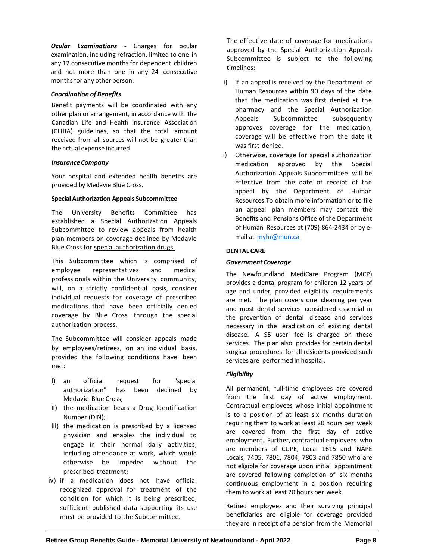*Ocular Examinations* - Charges for ocular examination, including refraction, limited to one in any 12 consecutive months for dependent children and not more than one in any 24 consecutive months for any other person.

## *Coordination of Benefits*

Benefit payments will be coordinated with any other plan or arrangement, in accordance with the Canadian Life and Health Insurance Association (CLHIA) guidelines, so that the total amount received from all sources will not be greater than the actual expense incurred.

## *Insurance Company*

Your hospital and extended health benefits are provided by Medavie Blue Cross.

## **Special Authorization Appeals Subcommittee**

The University Benefits Committee has established a Special Authorization Appeals Subcommittee to review appeals from health plan members on coverage declined by Medavie Blue Cross for special authorization drugs.

This Subcommittee which is comprised of employee representatives and medical professionals within the University community, will, on a strictly confidential basis, consider individual requests for coverage of prescribed medications that have been officially denied coverage by Blue Cross through the special authorization process.

The Subcommittee will consider appeals made by employees/retirees, on an individual basis, provided the following conditions have been met:

- i) an official request for "special authorization" has been declined by Medavie Blue Cross;
- ii) the medication bears a Drug Identification Number (DIN);
- iii) the medication is prescribed by a licensed physician and enables the individual to engage in their normal daily activities, including attendance at work, which would otherwise be impeded without the prescribed treatment;
- iv) if a medication does not have official recognized approval for treatment of the condition for which it is being prescribed, sufficient published data supporting its use must be provided to the Subcommittee.

The effective date of coverage for medications approved by the Special Authorization Appeals Subcommittee is subject to the following timelines:

- i) If an appeal is received by the Department of Human Resources within 90 days of the date that the medication was first denied at the pharmacy and the Special Authorization Appeals Subcommittee subsequently approves coverage for the medication, coverage will be effective from the date it was first denied.
- ii) Otherwise, coverage for special authorization medication approved by the Special Authorization Appeals Subcommittee will be effective from the date of receipt of the appeal by the Department of Human Resources.To obtain more information or to file an appeal plan members may contact the Benefits and Pensions Office of the Department of Human Resources at (709) 864-2434 or by email at [myhr@mun.ca](mailto:myhr@mun.ca)

## **DENTAL CARE**

## *GovernmentCoverage*

The Newfoundland MediCare Program (MCP) provides a dental program for children 12 years of age and under, provided eligibility requirements are met. The plan covers one cleaning per year and most dental services considered essential in the prevention of dental disease and services necessary in the eradication of existing dental disease. A \$5 user fee is charged on these services. The plan also provides for certain dental surgical procedures for all residents provided such services are performed in hospital.

# *Eligibility*

All permanent, full-time employees are covered from the first day of active employment. Contractual employees whose initial appointment is to a position of at least six months duration requiring them to work at least 20 hours per week are covered from the first day of active employment. Further, contractual employees who are members of CUPE, Local 1615 and NAPE Locals, 7405, 7801, 7804, 7803 and 7850 who are not eligible for coverage upon initial appointment are covered following completion of six months continuous employment in a position requiring them to work at least 20 hours per week.

Retired employees and their surviving principal beneficiaries are eligible for coverage provided they are in receipt of a pension from the Memorial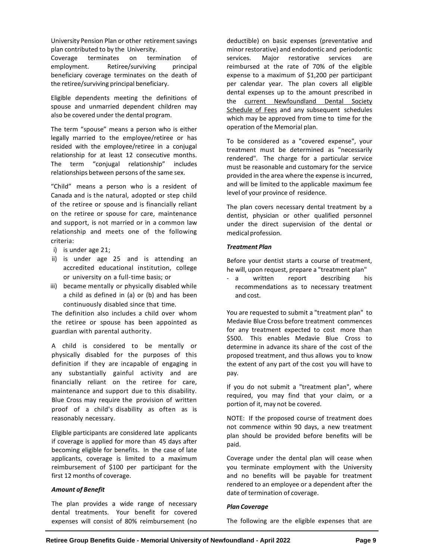University Pension Plan or other retirement savings plan contributed to by the University.

Coverage terminates on termination of employment. Retiree/surviving principal beneficiary coverage terminates on the death of the retiree/surviving principal beneficiary.

Eligible dependents meeting the definitions of spouse and unmarried dependent children may also be covered under the dental program.

The term "spouse" means a person who is either legally married to the employee/retiree or has resided with the employee/retiree in a conjugal relationship for at least 12 consecutive months. The term "conjugal relationship" includes relationships between persons of the same sex.

"Child" means a person who is a resident of Canada and is the natural, adopted or step child of the retiree or spouse and is financially reliant on the retiree or spouse for care, maintenance and support, is not married or in a common law relationship and meets one of the following criteria:

- i) is under age 21;
- ii) is under age 25 and is attending an accredited educational institution, college or university on a full-time basis; or
- iii) became mentally or physically disabled while a child as defined in (a) or (b) and has been continuously disabled since that time.

The definition also includes a child over whom the retiree or spouse has been appointed as guardian with parental authority.

A child is considered to be mentally or physically disabled for the purposes of this definition if they are incapable of engaging in any substantially gainful activity and are financially reliant on the retiree for care, maintenance and support due to this disability. Blue Cross may require the provision of written proof of a child's disability as often as is reasonably necessary.

Eligible participants are considered late applicants if coverage is applied for more than 45 days after becoming eligible for benefits. In the case of late applicants, coverage is limited to a maximum reimbursement of \$100 per participant for the first 12 months of coverage.

#### *Amount of Benefit*

The plan provides a wide range of necessary dental treatments. Your benefit for covered expenses will consist of 80% reimbursement (no deductible) on basic expenses (preventative and minor restorative) and endodontic and periodontic services. Major restorative services are reimbursed at the rate of 70% of the eligible expense to a maximum of \$1,200 per participant per calendar year. The plan covers all eligible dental expenses up to the amount prescribed in the current Newfoundland Dental Society Schedule of Fees and any subsequent schedules which may be approved from time to time for the operation of the Memorial plan.

To be considered as a "covered expense", your treatment must be determined as "necessarily rendered". The charge for a particular service must be reasonable and customary for the service provided in the area where the expense is incurred, and will be limited to the applicable maximum fee level of your province of residence.

The plan covers necessary dental treatment by a dentist, physician or other qualified personnel under the direct supervision of the dental or medical profession.

## *Treatment Plan*

Before your dentist starts a course of treatment, he will, upon request, prepare a "treatment plan"

- a written report describing his recommendations as to necessary treatment and cost.

You are requested to submit a "treatment plan" to Medavie Blue Cross before treatment commences for any treatment expected to cost more than \$500. This enables Medavie Blue Cross to determine in advance its share of the cost of the proposed treatment, and thus allows you to know the extent of any part of the cost you will have to pay.

If you do not submit a "treatment plan", where required, you may find that your claim, or a portion of it, may not be covered.

NOTE: If the proposed course of treatment does not commence within 90 days, a new treatment plan should be provided before benefits will be paid.

Coverage under the dental plan will cease when you terminate employment with the University and no benefits will be payable for treatment rendered to an employee or a dependent after the date of termination of coverage.

#### *Plan Coverage*

The following are the eligible expenses that are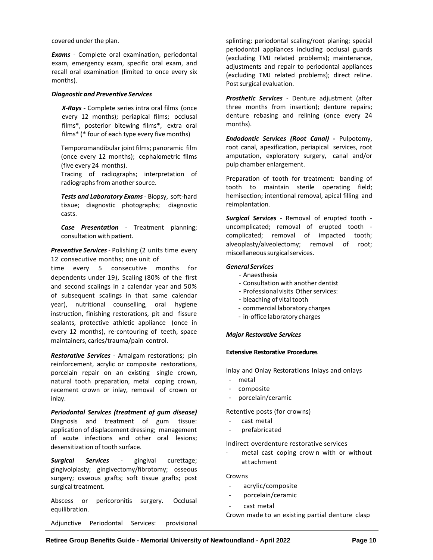covered under the plan.

*Exams* - Complete oral examination, periodontal exam, emergency exam, specific oral exam, and recall oral examination (limited to once every six months).

#### *Diagnostic and Preventive Services*

*X-Rays* - Complete series intra oral films (once every 12 months); periapical films; occlusal films\*, posterior bitewing films\*, extra oral films\* (\* four of each type every five months)

Temporomandibular joint films; panoramic film (once every 12 months); cephalometric films (five every 24 months).

Tracing of radiographs; interpretation of radiographs from another source.

*Tests and Laboratory Exams* - Biopsy, soft-hard tissue; diagnostic photographs; diagnostic casts.

*Case Presentation* - Treatment planning; consultation with patient.

*Preventive Services* - Polishing (2 units time every 12 consecutive months; one unit of

time every 5 consecutive months for dependents under 19), Scaling (80% of the first and second scalings in a calendar year and 50% of subsequent scalings in that same calendar year), nutritional counselling, oral hygiene instruction, finishing restorations, pit and fissure sealants, protective athletic appliance (once in every 12 months), re-contouring of teeth, space maintainers, caries/trauma/pain control.

*Restorative Services* - Amalgam restorations; pin reinforcement, acrylic or composite restorations, porcelain repair on an existing single crown, natural tooth preparation, metal coping crown, recement crown or inlay, removal of crown or inlay.

*Periodontal Services (treatment of gum disease)* Diagnosis and treatment of gum tissue: application of displacement dressing; management of acute infections and other oral lesions; desensitization of tooth surface.

*Surgical Services* - gingival curettage; gingivolplasty; gingivectomy/fibrotomy; osseous surgery; osseous grafts; soft tissue grafts; post surgical treatment.

Abscess or pericoronitis surgery. Occlusal equilibration.

Adjunctive Periodontal Services: provisional

splinting; periodontal scaling/root planing; special periodontal appliances including occlusal guards (excluding TMJ related problems); maintenance, adjustments and repair to periodontal appliances (excluding TMJ related problems); direct reline. Post surgical evaluation.

*Prosthetic Services* - Denture adjustment (after three months from insertion); denture repairs; denture rebasing and relining (once every 24 months).

*Endodontic Services (Root Canal)* **-** Pulpotomy, root canal, apexification, periapical services, root amputation, exploratory surgery, canal and/or pulp chamber enlargement.

Preparation of tooth for treatment: banding of tooth to maintain sterile operating field; hemisection; intentional removal, apical filling and reimplantation.

*Surgical Services* - Removal of erupted tooth uncomplicated; removal of erupted tooth complicated; removal of impacted tooth; alveoplasty/alveolectomy; removal of root; miscellaneous surgical services.

#### *General Services*

- Anaesthesia
- Consultation with another dentist
- Professional visits Other services:
- bleaching of vital tooth
- commercial laboratory charges
- in-office laboratory charges

## *Major Restorative Services*

#### **Extensive Restorative Procedures**

Inlay and Onlay Restorations Inlays and onlays

- metal
- composite
- porcelain/ceramic

Retentive posts (for crowns)

- cast metal
- prefabricated

Indirect overdenture restorative services

- metal cast coping crow n with or without attachment

#### Crowns

- acrylic/composite
- porcelain/ceramic
- cast metal

Crown made to an existing partial denture clasp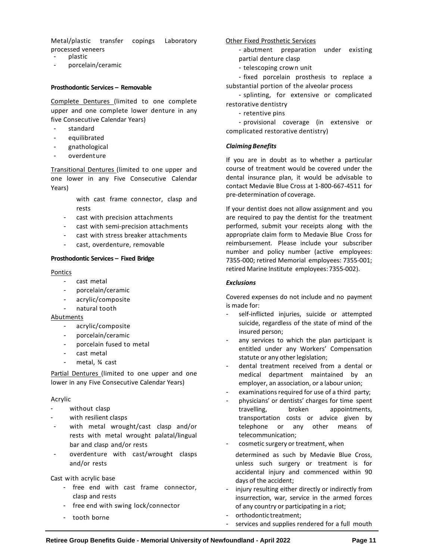Metal/plastic transfer copings Laboratory processed veneers

- plastic
- porcelain/ceramic

#### **Prosthodontic Services – Removable**

Complete Dentures (limited to one complete upper and one complete lower denture in any five Consecutive Calendar Years)

- standard
- equilibrated
- gnathological
- overdenture

Transitional Dentures (limited to one upper and one lower in any Five Consecutive Calendar Years)

- with cast frame connector, clasp and rests
- cast with precision attachments
- cast with semi-precision attachments
- cast with stress breaker attachments
- cast, overdenture, removable

#### **Prosthodontic Services – Fixed Bridge**

#### Pontics

- cast metal
- porcelain/ceramic
- acrylic/composite
- natural tooth

#### Abutments

- acrylic/composite
- porcelain/ceramic
- porcelain fused to metal
- cast metal
- metal, ¥ cast

Partial Dentures (limited to one upper and one lower in any Five Consecutive Calendar Years)

#### Acrylic

- without clasp
- with resilient clasps
- with metal wrought/cast clasp and/or rests with metal wrought palatal/lingual bar and clasp and/or rests
- overdenture with cast/wrought clasps and/or rests

#### Cast with acrylic base

- free end with cast frame connector, clasp and rests
- free end with swing lock/connector
- tooth borne

## Other Fixed Prosthetic Services

- abutment preparation under existing partial denture clasp
- telescoping crown unit

- fixed porcelain prosthesis to replace a substantial portion of the alveolar process

- splinting, for extensive or complicated restorative dentistry

- retentive pins

- provisional coverage (in extensive or complicated restorative dentistry)

## *ClaimingBenefits*

If you are in doubt as to whether a particular course of treatment would be covered under the dental insurance plan, it would be advisable to contact Medavie Blue Cross at 1-800-667-4511 for pre-determination of coverage.

If your dentist does not allow assignment and you are required to pay the dentist for the treatment performed, submit your receipts along with the appropriate claim form to Medavie Blue Cross for reimbursement. Please include your subscriber number and policy number (active employees: 7355-000; retired Memorial employees: 7355-001; retired Marine Institute employees:7355-002).

#### *Exclusions*

Covered expenses do not include and no payment is made for:

- self-inflicted injuries, suicide or attempted suicide, regardless of the state of mind of the insured person;
- any services to which the plan participant is entitled under any Workers' Compensation statute or any other legislation;
- dental treatment received from a dental or medical department maintained by an employer, an association, or a labour union;
- examinations required for use of a third party;
- physicians' or dentists' charges for time spent travelling, broken appointments, transportation costs or advice given by telephone or any other means of telecommunication;
- cosmetic surgery or treatment, when
- determined as such by Medavie Blue Cross, unless such surgery or treatment is for accidental injury and commenced within 90 days of the accident;
- injury resulting either directly or indirectly from insurrection, war, service in the armed forces of any country or participating in a riot;
- orthodontic treatment:
- services and supplies rendered for a full mouth